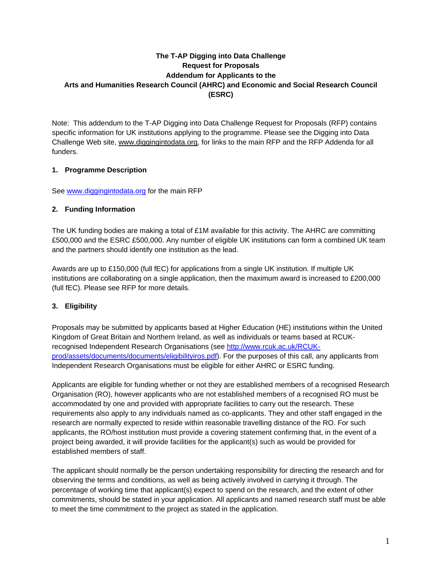# **The T-AP Digging into Data Challenge Request for Proposals Addendum for Applicants to the Arts and Humanities Research Council (AHRC) and Economic and Social Research Council (ESRC)**

Note: This addendum to the T-AP Digging into Data Challenge Request for Proposals (RFP) contains specific information for UK institutions applying to the programme. Please see the Digging into Data Challenge Web site, www.diggingintodata.org, for links to the main RFP and the RFP Addenda for all funders.

# **1. Programme Description**

See www.diggingintodata.org for the main RFP

## **2. Funding Information**

The UK funding bodies are making a total of £1M available for this activity. The AHRC are committing £500,000 and the ESRC £500,000. Any number of eligible UK institutions can form a combined UK team and the partners should identify one institution as the lead.

Awards are up to £150,000 (full fEC) for applications from a single UK institution. If multiple UK institutions are collaborating on a single application, then the maximum award is increased to £200,000 (full fEC). Please see RFP for more details.

# **3. Eligibility**

Proposals may be submitted by applicants based at Higher Education (HE) institutions within the United Kingdom of Great Britain and Northern Ireland, as well as individuals or teams based at RCUKrecognised Independent Research Organisations (see http://www.rcuk.ac.uk/RCUKprod/assets/documents/documents/eligibilityiros.pdf). For the purposes of this call, any applicants from Independent Research Organisations must be eligible for either AHRC or ESRC funding.

Applicants are eligible for funding whether or not they are established members of a recognised Research Organisation (RO), however applicants who are not established members of a recognised RO must be accommodated by one and provided with appropriate facilities to carry out the research. These requirements also apply to any individuals named as co-applicants. They and other staff engaged in the research are normally expected to reside within reasonable travelling distance of the RO. For such applicants, the RO/host institution must provide a covering statement confirming that, in the event of a project being awarded, it will provide facilities for the applicant(s) such as would be provided for established members of staff.

The applicant should normally be the person undertaking responsibility for directing the research and for observing the terms and conditions, as well as being actively involved in carrying it through. The percentage of working time that applicant(s) expect to spend on the research, and the extent of other commitments, should be stated in your application. All applicants and named research staff must be able to meet the time commitment to the project as stated in the application.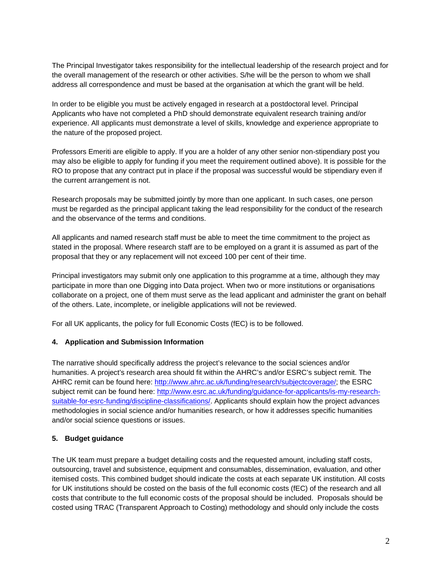The Principal Investigator takes responsibility for the intellectual leadership of the research project and for the overall management of the research or other activities. S/he will be the person to whom we shall address all correspondence and must be based at the organisation at which the grant will be held.

In order to be eligible you must be actively engaged in research at a postdoctoral level. Principal Applicants who have not completed a PhD should demonstrate equivalent research training and/or experience. All applicants must demonstrate a level of skills, knowledge and experience appropriate to the nature of the proposed project.

Professors Emeriti are eligible to apply. If you are a holder of any other senior non-stipendiary post you may also be eligible to apply for funding if you meet the requirement outlined above). It is possible for the RO to propose that any contract put in place if the proposal was successful would be stipendiary even if the current arrangement is not.

Research proposals may be submitted jointly by more than one applicant. In such cases, one person must be regarded as the principal applicant taking the lead responsibility for the conduct of the research and the observance of the terms and conditions.

All applicants and named research staff must be able to meet the time commitment to the project as stated in the proposal. Where research staff are to be employed on a grant it is assumed as part of the proposal that they or any replacement will not exceed 100 per cent of their time.

Principal investigators may submit only one application to this programme at a time, although they may participate in more than one Digging into Data project. When two or more institutions or organisations collaborate on a project, one of them must serve as the lead applicant and administer the grant on behalf of the others. Late, incomplete, or ineligible applications will not be reviewed.

For all UK applicants, the policy for full Economic Costs (fEC) is to be followed.

## **4. Application and Submission Information**

The narrative should specifically address the project's relevance to the social sciences and/or humanities. A project's research area should fit within the AHRC's and/or ESRC's subject remit. The AHRC remit can be found here: http://www.ahrc.ac.uk/funding/research/subjectcoverage/; the ESRC subject remit can be found here: http://www.esrc.ac.uk/funding/guidance-for-applicants/is-my-researchsuitable-for-esrc-funding/discipline-classifications/. Applicants should explain how the project advances methodologies in social science and/or humanities research, or how it addresses specific humanities and/or social science questions or issues.

## **5. Budget guidance**

The UK team must prepare a budget detailing costs and the requested amount, including staff costs, outsourcing, travel and subsistence, equipment and consumables, dissemination, evaluation, and other itemised costs. This combined budget should indicate the costs at each separate UK institution. All costs for UK institutions should be costed on the basis of the full economic costs (fEC) of the research and all costs that contribute to the full economic costs of the proposal should be included. Proposals should be costed using TRAC (Transparent Approach to Costing) methodology and should only include the costs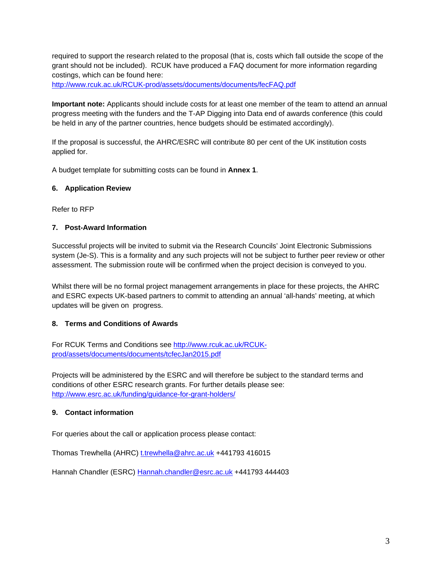required to support the research related to the proposal (that is, costs which fall outside the scope of the grant should not be included). RCUK have produced a FAQ document for more information regarding costings, which can be found here:

http://www.rcuk.ac.uk/RCUK-prod/assets/documents/documents/fecFAQ.pdf

**Important note:** Applicants should include costs for at least one member of the team to attend an annual progress meeting with the funders and the T-AP Digging into Data end of awards conference (this could be held in any of the partner countries, hence budgets should be estimated accordingly).

If the proposal is successful, the AHRC/ESRC will contribute 80 per cent of the UK institution costs applied for.

A budget template for submitting costs can be found in **Annex 1**.

#### **6. Application Review**

Refer to RFP

# **7. Post-Award Information**

Successful projects will be invited to submit via the Research Councils' Joint Electronic Submissions system (Je-S). This is a formality and any such projects will not be subject to further peer review or other assessment. The submission route will be confirmed when the project decision is conveyed to you.

Whilst there will be no formal project management arrangements in place for these projects, the AHRC and ESRC expects UK-based partners to commit to attending an annual 'all-hands' meeting, at which updates will be given on progress.

## **8. Terms and Conditions of Awards**

For RCUK Terms and Conditions see http://www.rcuk.ac.uk/RCUKprod/assets/documents/documents/tcfecJan2015.pdf

Projects will be administered by the ESRC and will therefore be subject to the standard terms and conditions of other ESRC research grants. For further details please see: http://www.esrc.ac.uk/funding/guidance-for-grant-holders/

## **9. Contact information**

For queries about the call or application process please contact:

Thomas Trewhella (AHRC) t.trewhella@ahrc.ac.uk +441793 416015

Hannah Chandler (ESRC) Hannah.chandler@esrc.ac.uk +441793 444403